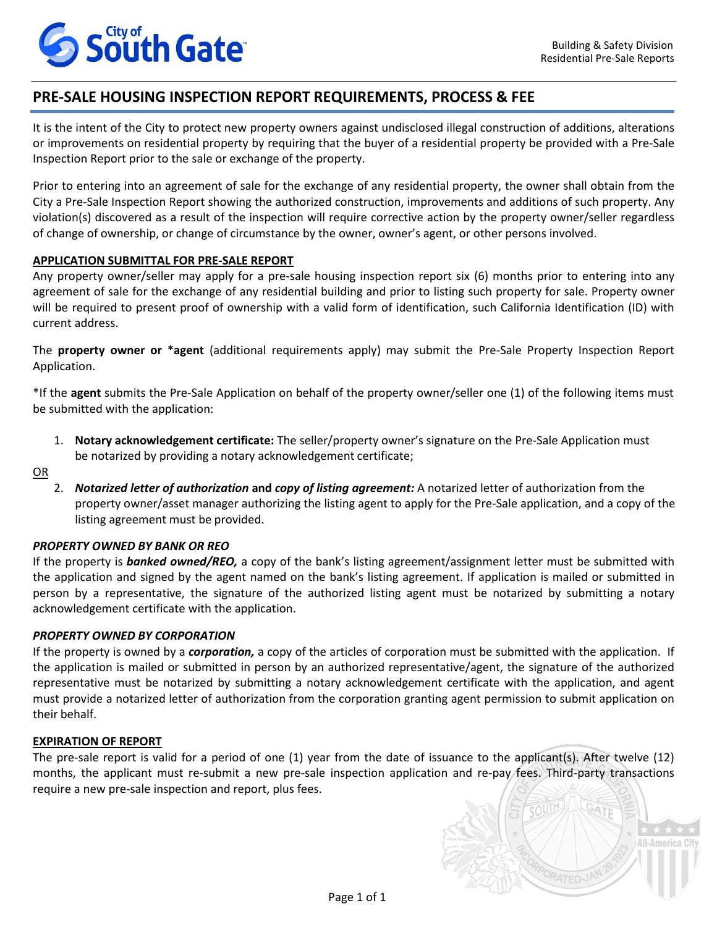

All-Americ

# **PRE-SALE HOUSING INSPECTION REPORT REQUIREMENTS, PROCESS & FEE**

It is the intent of the City to protect new property owners against undisclosed illegal construction of additions, alterations or improvements on residential property by requiring that the buyer of a residential property be provided with a Pre-Sale Inspection Report prior to the sale or exchange of the property.

Prior to entering into an agreement of sale for the exchange of any residential property, the owner shall obtain from the City a Pre-Sale Inspection Report showing the authorized construction, improvements and additions of such property. Any violation(s) discovered as a result of the inspection will require corrective action by the property owner/seller regardless of change of ownership, or change of circumstance by the owner, owner's agent, or other persons involved.

## **APPLICATION SUBMITTAL FOR PRE-SALE REPORT**

Any property owner/seller may apply for a pre-sale housing inspection report six (6) months prior to entering into any agreement of sale for the exchange of any residential building and prior to listing such property for sale. Property owner will be required to present proof of ownership with a valid form of identification, such California Identification (ID) with current address.

The **property owner or \*agent** (additional requirements apply) may submit the Pre-Sale Property Inspection Report Application.

\*If the **agent** submits the Pre-Sale Application on behalf of the property owner/seller one (1) of the following items must be submitted with the application:

1. **Notary acknowledgement certificate:** The seller/property owner's signature on the Pre-Sale Application must be notarized by providing a notary acknowledgement certificate;

OR

2. *Notarized letter of authorization* **and** *copy of listing agreement:* A notarized letter of authorization from the property owner/asset manager authorizing the listing agent to apply for the Pre-Sale application, and a copy of the listing agreement must be provided.

#### *PROPERTY OWNED BY BANK OR REO*

If the property is *banked owned/REO,* a copy of the bank's listing agreement/assignment letter must be submitted with the application and signed by the agent named on the bank's listing agreement. If application is mailed or submitted in person by a representative, the signature of the authorized listing agent must be notarized by submitting a notary acknowledgement certificate with the application.

#### *PROPERTY OWNED BY CORPORATION*

If the property is owned by a *corporation,* a copy of the articles of corporation must be submitted with the application. If the application is mailed or submitted in person by an authorized representative/agent, the signature of the authorized representative must be notarized by submitting a notary acknowledgement certificate with the application, and agent must provide a notarized letter of authorization from the corporation granting agent permission to submit application on their behalf.

#### **EXPIRATION OF REPORT**

The pre-sale report is valid for a period of one (1) year from the date of issuance to the applicant(s). After twelve (12) months, the applicant must re-submit a new pre-sale inspection application and re-pay fees. Third-party transactions require a new pre-sale inspection and report, plus fees.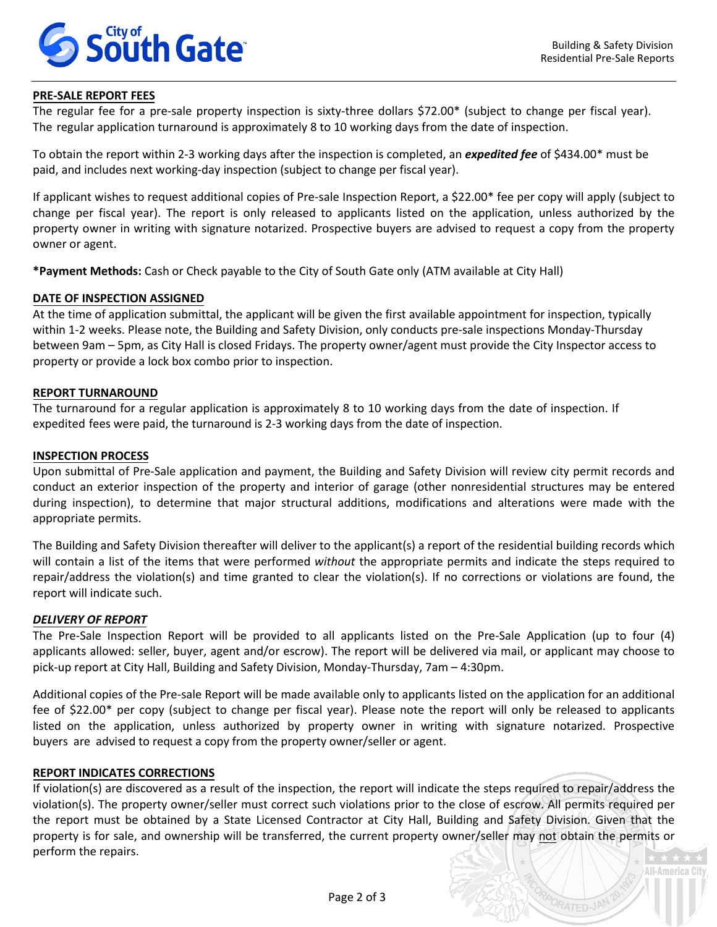

**All-America City** 

PATED-JA

## **PRE-SALE REPORT FEES**

The regular fee for a pre-sale property inspection is sixty-three dollars \$72.00\* (subject to change per fiscal year). The regular application turnaround is approximately 8 to 10 working days from the date of inspection.

To obtain the report within 2-3 working days after the inspection is completed, an *expedited fee* of \$434.00\* must be paid, and includes next working-day inspection (subject to change per fiscal year).

If applicant wishes to request additional copies of Pre-sale Inspection Report, a \$22.00\* fee per copy will apply (subject to change per fiscal year). The report is only released to applicants listed on the application, unless authorized by the property owner in writing with signature notarized. Prospective buyers are advised to request a copy from the property owner or agent.

**\*Payment Methods:** Cash or Check payable to the City of South Gate only (ATM available at City Hall)

#### **DATE OF INSPECTION ASSIGNED**

At the time of application submittal, the applicant will be given the first available appointment for inspection, typically within 1-2 weeks. Please note, the Building and Safety Division, only conducts pre-sale inspections Monday-Thursday between 9am – 5pm, as City Hall is closed Fridays. The property owner/agent must provide the City Inspector access to property or provide a lock box combo prior to inspection.

## **REPORT TURNAROUND**

The turnaround for a regular application is approximately 8 to 10 working days from the date of inspection. If expedited fees were paid, the turnaround is 2-3 working days from the date of inspection.

#### **INSPECTION PROCESS**

Upon submittal of Pre-Sale application and payment, the Building and Safety Division will review city permit records and conduct an exterior inspection of the property and interior of garage (other nonresidential structures may be entered during inspection), to determine that major structural additions, modifications and alterations were made with the appropriate permits.

The Building and Safety Division thereafter will deliver to the applicant(s) a report of the residential building records which will contain a list of the items that were performed *without* the appropriate permits and indicate the steps required to repair/address the violation(s) and time granted to clear the violation(s). If no corrections or violations are found, the report will indicate such.

#### *DELIVERY OF REPORT*

The Pre-Sale Inspection Report will be provided to all applicants listed on the Pre-Sale Application (up to four (4) applicants allowed: seller, buyer, agent and/or escrow). The report will be delivered via mail, or applicant may choose to pick-up report at City Hall, Building and Safety Division, Monday-Thursday, 7am – 4:30pm.

Additional copies of the Pre-sale Report will be made available only to applicants listed on the application for an additional fee of \$22.00\* per copy (subject to change per fiscal year). Please note the report will only be released to applicants listed on the application, unless authorized by property owner in writing with signature notarized. Prospective buyers are advised to request a copy from the property owner/seller or agent.

#### **REPORT INDICATES CORRECTIONS**

If violation(s) are discovered as a result of the inspection, the report will indicate the steps required to repair/address the violation(s). The property owner/seller must correct such violations prior to the close of escrow. All permits required per the report must be obtained by a State Licensed Contractor at City Hall, Building and Safety Division. Given that the property is for sale, and ownership will be transferred, the current property owner/seller may not obtain the permits or perform the repairs.